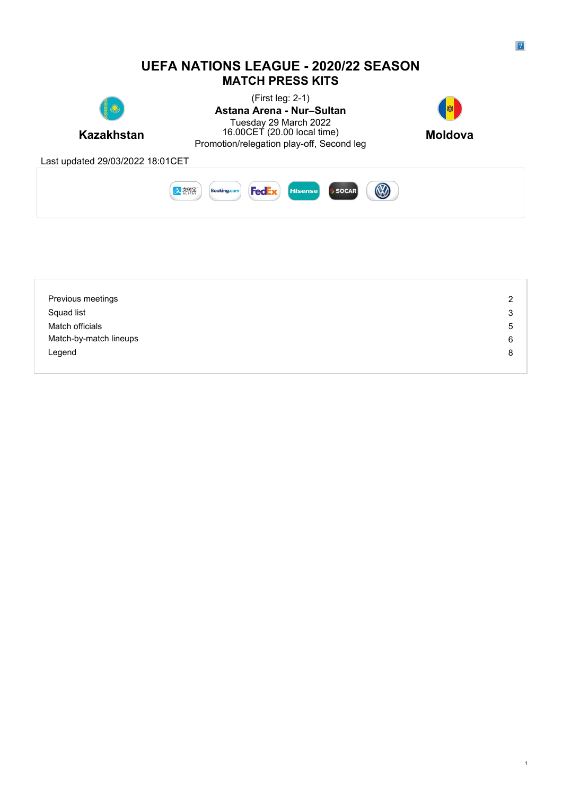### **UEFA NATIONS LEAGUE - 2020/22 SEASON MATCH PRESS KITS**



**Kazakhstan** 16.00CET (20.00 local time) **Moldova** (First leg: 2-1) **Astana Arena - Nur–Sultan** Tuesday 29 March 2022 16.00CET (20.00 local time) **Moldova** 16.00CET (20.00 local time)<br>Promotion/relegation play-off, Second leg



Last updated 29/03/2022 18:01CET



| Previous meetings      | 2 |
|------------------------|---|
| Squad list             | 3 |
| Match officials        | 5 |
| Match-by-match lineups | 6 |
| Legend                 | 8 |
|                        |   |

1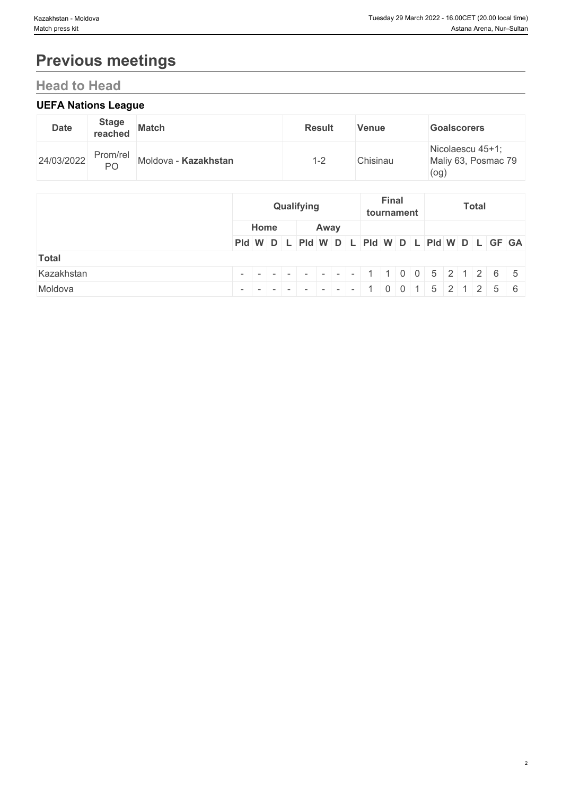# **Previous meetings**

## **Head to Head**

## **UEFA Nations League**

| <b>Date</b> | <b>Stage</b><br>reached | <b>Match</b>         | <b>Result</b> | <b>Venue</b> | <b>Goalscorers</b>                              |
|-------------|-------------------------|----------------------|---------------|--------------|-------------------------------------------------|
| 24/03/2022  | Prom/rel<br>PO          | Moldova - Kazakhstan | $\sim$<br>н.  | Chisinau     | Nicolaescu 45+1;<br>Maliy 63, Posmac 79<br>(og) |

|              |                                                         |      |  | Qualifying |      |  |  | <b>Final</b> | tournament |  | <b>Total</b> |  |  |
|--------------|---------------------------------------------------------|------|--|------------|------|--|--|--------------|------------|--|--------------|--|--|
|              |                                                         | Home |  |            | Away |  |  |              |            |  |              |  |  |
|              | PId W D L PId W D L PId W D L PId W D L PId W D L GF GA |      |  |            |      |  |  |              |            |  |              |  |  |
| <b>Total</b> |                                                         |      |  |            |      |  |  |              |            |  |              |  |  |
| Kazakhstan   |                                                         |      |  |            |      |  |  |              |            |  |              |  |  |
| Moldova      |                                                         |      |  |            |      |  |  |              |            |  |              |  |  |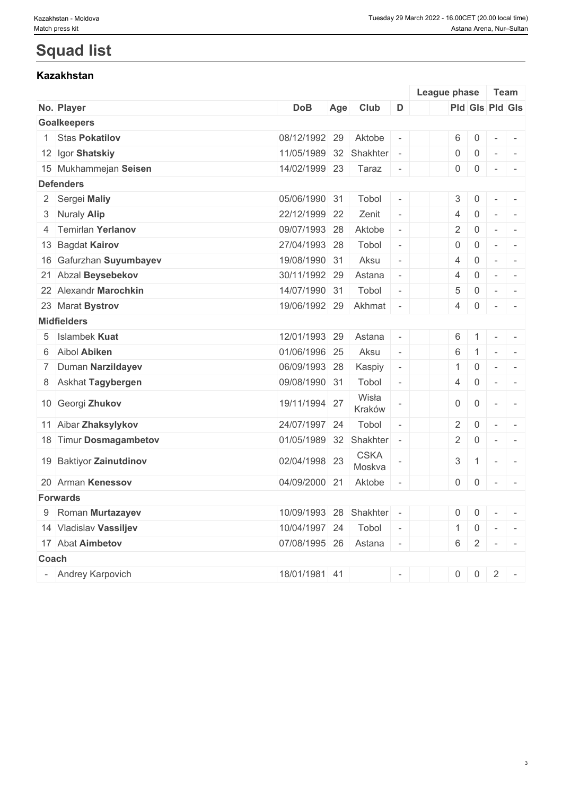## **Squad list**

## **Kazakhstan**

|                         |                          |     |                       |                | League phase   |                                  | Team                                                                                              |        |                          |
|-------------------------|--------------------------|-----|-----------------------|----------------|----------------|----------------------------------|---------------------------------------------------------------------------------------------------|--------|--------------------------|
| No. Player              | <b>DoB</b>               | Age | Club                  | D              |                |                                  | Pld Gls Pld Gls                                                                                   |        |                          |
| <b>Goalkeepers</b>      |                          |     |                       |                |                |                                  |                                                                                                   |        |                          |
| 1 Stas Pokatilov        | 08/12/1992 29            |     | Aktobe                | $\sim$         |                | $6 \mid 0$                       | $\sim$ $-$                                                                                        | $\sim$ |                          |
| 12 Igor Shatskiy        | 11/05/1989 32 Shakhter - |     |                       |                | $\overline{0}$ | $\overline{0}$                   | $\sim$                                                                                            | $\sim$ |                          |
| 15 Mukhammejan Seisen   | 14/02/1999 23            |     | Taraz                 | $\sim$         |                | $0 \quad 0$                      | $\begin{array}{cccccccccc} \bullet & \bullet & \bullet & \bullet & \bullet & \bullet \end{array}$ |        |                          |
| <b>Defenders</b>        |                          |     |                       |                |                |                                  |                                                                                                   |        |                          |
| 2 Sergei Maliy          | 05/06/1990 31            |     | Tobol                 | $\sim$         |                | 3 <sup>1</sup><br>$\overline{0}$ | $\sim$                                                                                            |        | $\sim$                   |
| 3 Nuraly Alip           | 22/12/1999 22            |     | Zenit                 | $\sim$         | $\overline{4}$ | $\overline{0}$                   | $\sim$                                                                                            |        | $\overline{\phantom{a}}$ |
| 4 Temirlan Yerlanov     | 09/07/1993 28            |     | Aktobe                | $\sim$         | $\overline{2}$ | $\overline{0}$                   | $\sim$                                                                                            |        | $\sim$                   |
| 13 Bagdat Kairov        | 27/04/1993 28            |     | Tobol                 | $\overline{a}$ | $\overline{0}$ | $\overline{0}$                   | $\sim$                                                                                            |        | $\sim$                   |
| 16 Gafurzhan Suyumbayev | 19/08/1990 31            |     | Aksu                  | $\sim$         |                | $\overline{0}$<br>$\overline{4}$ | $\sim$                                                                                            | $\sim$ |                          |
| 21 Abzal Beysebekov     | 30/11/1992 29            |     | Astana                | $\sim$         | $\overline{4}$ | $\overline{0}$                   | $\sim$                                                                                            | $\sim$ |                          |
| 22 Alexandr Marochkin   | 14/07/1990 31            |     | Tobol                 | $\overline{a}$ | 5              | $\overline{0}$                   | $\sim$                                                                                            | $\sim$ |                          |
| 23 Marat Bystrov        | 19/06/1992 29            |     | Akhmat -              |                |                | $\overline{0}$<br>4              | $ 1 - 1  = 1$                                                                                     |        |                          |
| <b>Midfielders</b>      |                          |     |                       |                |                |                                  |                                                                                                   |        |                          |
| 5 Islambek Kuat         | 12/01/1993 29            |     | Astana                | $\sim$         |                | $6 \mid 1$                       | $\sim$ $-$                                                                                        | $\sim$ |                          |
| 6 Aibol Abiken          | 01/06/1996 25            |     | Aksu                  | $\sim$         | 6              |                                  | $1 -$                                                                                             |        |                          |
| 7 Duman Narzildayev     | 06/09/1993 28            |     | Kaspiy                | $\sim$         |                | $\overline{0}$<br>1              | $\sim$                                                                                            |        | $\sim$                   |
| 8 Askhat Tagybergen     | 09/08/1990 31            |     | Tobol                 | $\sim$         | 4              | $\overline{0}$                   | $\sim$                                                                                            |        | $\sim$                   |
| 10 Georgi Zhukov        | 19/11/1994 27            |     | Wisła<br>Kraków       |                |                | 0<br>$\overline{0}$              | $\sim$                                                                                            |        | $\sim$                   |
| 11 Aibar Zhaksylykov    | 24/07/1997 24            |     | Tobol                 | $\sim$         |                | $\overline{0}$<br>$2^{\circ}$    | $\sim$                                                                                            |        | $\sim$                   |
| 18 Timur Dosmagambetov  | 01/05/1989 32 Shakhter - |     |                       |                |                | $2 \mid 0$                       | $\sim$                                                                                            |        | $\sim$                   |
| 19 Baktiyor Zainutdinov | 02/04/1998 23            |     | <b>CSKA</b><br>Moskva |                |                | $3 \mid 1$                       | $\sim$                                                                                            |        | $\sim$                   |
| 20 Arman Kenessov       | 04/09/2000 21            |     | Aktobe                |                |                | $0 \mid 0$                       | $\sim$                                                                                            |        | $\sim$                   |
| <b>Forwards</b>         |                          |     |                       |                |                |                                  |                                                                                                   |        |                          |
| 9 Roman Murtazayev      | 10/09/1993 28 Shakhter - |     |                       |                |                | $0 \quad 0$                      | $  - -   - -$                                                                                     |        |                          |
| 14 Vladislav Vassiljev  | 10/04/1997 24            |     | Tobol                 | $\sim$         |                | $\overline{0}$<br>1              | $\sim$                                                                                            | $\sim$ |                          |
| 17 Abat Aimbetov        | 07/08/1995 26            |     | Astana                | $\sim$         |                |                                  | $6 \ 2 \ - \ -$                                                                                   |        |                          |
| Coach                   |                          |     |                       |                |                |                                  |                                                                                                   |        |                          |
| - Andrey Karpovich      | 18/01/1981 41            |     |                       | $\sim$         |                | $\mathbf 0$<br>0                 | 2                                                                                                 |        | $\sim$                   |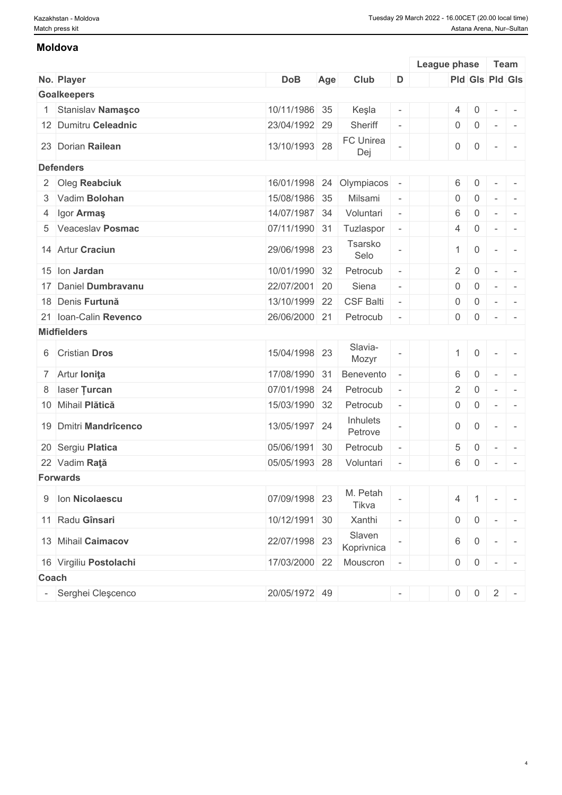#### **Moldova**

|                        |               |     |                      |                          | League phase   |                     | Team                                      |                          |
|------------------------|---------------|-----|----------------------|--------------------------|----------------|---------------------|-------------------------------------------|--------------------------|
| No. Player             | <b>DoB</b>    | Age | Club                 | D                        |                | Pld Gls Pld Gls     |                                           |                          |
| <b>Goalkeepers</b>     |               |     |                      |                          |                |                     |                                           |                          |
| 1 Stanislav Namaşco    | 10/11/1986 35 |     | Keşla                | $\sim$                   | $4 \mid 0$     |                     | $\overline{\phantom{a}}$                  | $\overline{\phantom{a}}$ |
| 12 Dumitru Celeadnic   | 23/04/1992 29 |     | Sheriff              | $\overline{\phantom{a}}$ | $0 \mid 0$     |                     | $\overline{\phantom{a}}$                  | $\overline{\phantom{a}}$ |
| 23 Dorian Railean      | 13/10/1993 28 |     | FC Unirea<br>Dej     |                          | $\overline{0}$ | $\overline{0}$      | $\sim$                                    | $\sim$                   |
| <b>Defenders</b>       |               |     |                      |                          |                |                     |                                           |                          |
| 2 Oleg Reabciuk        | 16/01/1998 24 |     | Olympiacos           | $\sim$                   | $6 \mid 0$     |                     | $\overline{\phantom{a}}$                  | $\overline{\phantom{a}}$ |
| 3 Vadim Bolohan        | 15/08/1986 35 |     | Milsami              | $\sim$                   | $\overline{0}$ | $\overline{0}$      | $\sim$                                    | $\overline{\phantom{a}}$ |
| 4 Igor Armaş           | 14/07/1987 34 |     | Voluntari            | $\sim$                   | 6              | $\overline{0}$      | $\sim$                                    | $\sim$                   |
| 5 Veaceslav Posmac     | 07/11/1990 31 |     | Tuzlaspor            | $\overline{\phantom{a}}$ | 4              | $\overline{0}$      | $\sim$                                    | $\overline{\phantom{a}}$ |
| 14 Artur Craciun       | 29/06/1998 23 |     | Tsarsko<br>Selo      |                          | 1              | $\overline{0}$      | $\sim$                                    | $\sim$                   |
| 15 Ion Jardan          | 10/01/1990 32 |     | Petrocub             |                          | $2 \mid$       | $\overline{0}$      | $\sim$                                    | $\sim$                   |
| 17 Daniel Dumbravanu   | 22/07/2001 20 |     | Siena                | $\overline{\phantom{a}}$ | $\overline{0}$ | $\overline{0}$      | $\overline{\phantom{a}}$                  | $\overline{\phantom{a}}$ |
| 18 Denis Furtună       | 13/10/1999 22 |     | <b>CSF Balti</b>     | $\sim$                   | $\overline{0}$ | $\overline{0}$      | $\sim$                                    | $\overline{a}$           |
| 21 Ioan-Calin Revenco  | 26/06/2000 21 |     | Petrocub             | $\sim$                   | $0 \mid 0$     |                     | $\mathbb{R}$                              |                          |
|                        |               |     |                      |                          |                |                     |                                           | $\overline{\phantom{a}}$ |
| <b>Midfielders</b>     |               |     |                      |                          |                |                     |                                           |                          |
| 6 Cristian Dros        | 15/04/1998 23 |     | Slavia-<br>Mozyr     |                          | 1              | $\overline{0}$      | $\sim$                                    |                          |
| 7 Artur Ionita         | 17/08/1990 31 |     | Benevento            |                          | 6              | $\overline{0}$      | $\overline{a}$                            |                          |
| 8 laser Turcan         | 07/01/1998 24 |     | Petrocub             | $\overline{\phantom{a}}$ | $\overline{2}$ | $\overline{0}$      | $\overline{\phantom{a}}$                  | $\sim$                   |
| 10 Mihail Plătică      | 15/03/1990 32 |     | Petrocub             |                          | 0              | $\overline{0}$      | $\overline{\phantom{a}}$                  | $\overline{\phantom{a}}$ |
| 19 Dmitri Mandrîcenco  | 13/05/1997 24 |     | Inhulets<br>Petrove  |                          | $\overline{0}$ | $\overline{0}$      | $\sim$                                    | $\sim$                   |
| 20 Sergiu Platica      | 05/06/1991 30 |     | Petrocub             | $\overline{\phantom{a}}$ | 5 <sup>1</sup> | $\overline{0}$      | $\sim$                                    | $\sim$                   |
| 22 Vadim Rată          | 05/05/1993 28 |     | Voluntari            | $\sim$                   | $6 \quad 0$    |                     | $\sim$                                    | $\sim$                   |
| <b>Forwards</b>        |               |     |                      |                          |                |                     |                                           |                          |
| 9 Ion Nicolaescu       | 07/09/1998 23 |     | M. Petah<br>Tikva    |                          | $4 \mid 1$     |                     | $\sim$                                    |                          |
| 11 Radu Gînsari        | 10/12/1991 30 |     | Xanthi               | $\overline{\phantom{a}}$ | $0 \mid 0$     |                     | $\mathcal{C}^{\mathcal{A}}_{\mathcal{A}}$ | $\sim$                   |
| 13 Mihail Caimacov     | 22/07/1998 23 |     | Slaven<br>Koprivnica |                          | $6 \mid 0$     |                     | $\sim$                                    |                          |
| 16 Virgiliu Postolachi | 17/03/2000 22 |     | Mouscron -           |                          |                | $0 \ 0 \ - \ -$     |                                           |                          |
| Coach                  |               |     |                      |                          |                |                     |                                           |                          |
| Serghei Clescenco      | 20/05/1972 49 |     |                      | $\sim$                   |                | $0 \mid 0 \mid 2$ - |                                           |                          |
|                        |               |     |                      |                          |                |                     |                                           |                          |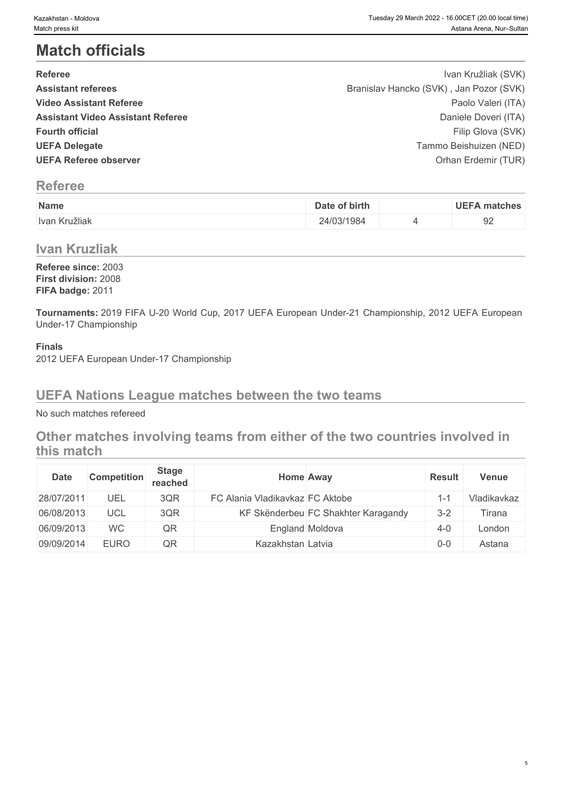## **Match officials**

| <b>Referee</b>                           | Ivan Kružliak (SVK)                     |
|------------------------------------------|-----------------------------------------|
| <b>Assistant referees</b>                | Branislav Hancko (SVK), Jan Pozor (SVK) |
| <b>Video Assistant Referee</b>           | Paolo Valeri (ITA)                      |
| <b>Assistant Video Assistant Referee</b> | Daniele Doveri (ITA)                    |
| <b>Fourth official</b>                   | Filip Glova (SVK)                       |
| <b>UEFA Delegate</b>                     | Tammo Beishuizen (NED)                  |
| <b>UEFA Referee observer</b>             | Orhan Erdemir (TUR)                     |

## **Referee**

| Name          | Date of birth | <b>UEFA matches</b> |
|---------------|---------------|---------------------|
| Ivan Kružliak | 24/03/1984    | ◡∸                  |

### **Ivan Kruzliak**

**Referee since:** 2003 **First division:** 2008 **FIFA badge:** 2011

**Tournaments:** 2019 FIFA U-20 World Cup, 2017 UEFA European Under-21 Championship, 2012 UEFA European Under-17 Championship

#### **Finals**

2012 UEFA European Under-17 Championship

### **UEFA Nations League matches between the two teams**

No such matches refereed

## **Other matches involving teams from either of the two countries involved in this match**

| Date       | <b>Competition</b> | <b>Stage</b><br>reached | <b>Home Away</b>                |                                     | <b>Result</b> | Venue       |
|------------|--------------------|-------------------------|---------------------------------|-------------------------------------|---------------|-------------|
| 28/07/2011 | UEL                | 3QR                     | FC Alania Vladikavkaz FC Aktobe |                                     | 1∹            | Vladikavkaz |
| 06/08/2013 | <b>UCL</b>         | 3QR                     |                                 | KF Skënderbeu FC Shakhter Karagandy | $3 - 2$       | ⊺irana      |
| 06/09/2013 | <b>WC</b>          | QR                      |                                 | England Moldova                     | $4 - 0$       | London      |
| 09/09/2014 | <b>EURO</b>        | QR                      | Kazakhstan Latvia               |                                     | $0-0$         | Astana      |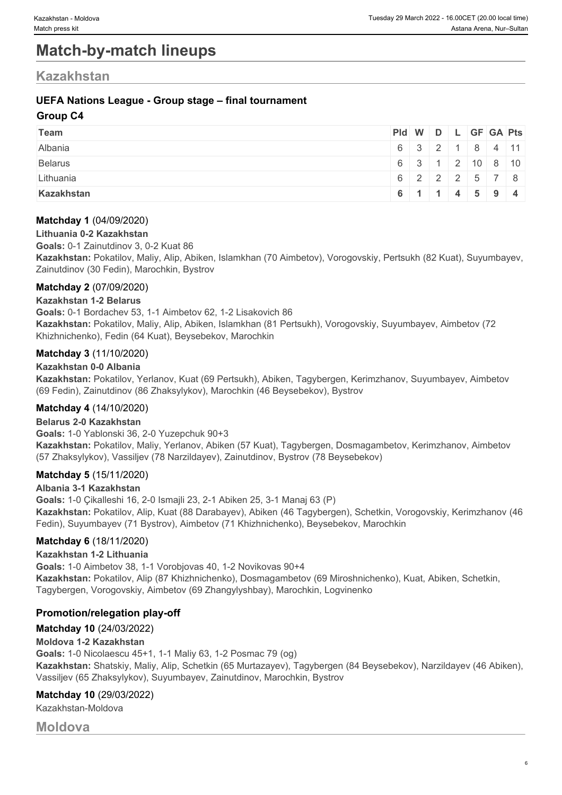## **Match-by-match lineups**

### **Kazakhstan**

#### **UEFA Nations League - Group stage – final tournament**

#### **Group C4**

| Team           |  |  | Pid W D L GF GA Pts                            |  |
|----------------|--|--|------------------------------------------------|--|
| Albania        |  |  | $6 \mid 3 \mid 2 \mid 1 \mid 8 \mid 4 \mid 11$ |  |
| <b>Belarus</b> |  |  | 6 3 1 2 10 8 10                                |  |
| Lithuania      |  |  | $6$   2   2   2   5   7   8                    |  |
| Kazakhstan     |  |  | 6 1 1 4 5 9 4                                  |  |

#### **Matchday 1** (04/09/2020)

#### **Lithuania 0-2 Kazakhstan**

#### **Goals:** 0-1 Zainutdinov 3, 0-2 Kuat 86

**Kazakhstan:** Pokatilov, Maliy, Alip, Abiken, Islamkhan (70 Aimbetov), Vorogovskiy, Pertsukh (82 Kuat), Suyumbayev, Zainutdinov (30 Fedin), Marochkin, Bystrov

#### **Matchday 2** (07/09/2020)

#### **Kazakhstan 1-2 Belarus**

**Goals:** 0-1 Bordachev 53, 1-1 Aimbetov 62, 1-2 Lisakovich 86 **Kazakhstan:** Pokatilov, Maliy, Alip, Abiken, Islamkhan (81 Pertsukh), Vorogovskiy, Suyumbayev, Aimbetov (72 Khizhnichenko), Fedin (64 Kuat), Beysebekov, Marochkin

#### **Matchday 3** (11/10/2020)

#### **Kazakhstan 0-0 Albania**

**Kazakhstan:** Pokatilov, Yerlanov, Kuat (69 Pertsukh), Abiken, Tagybergen, Kerimzhanov, Suyumbayev, Aimbetov (69 Fedin), Zainutdinov (86 Zhaksylykov), Marochkin (46 Beysebekov), Bystrov

#### **Matchday 4** (14/10/2020)

#### **Belarus 2-0 Kazakhstan**

**Goals:** 1-0 Yablonski 36, 2-0 Yuzepchuk 90+3

**Kazakhstan:** Pokatilov, Maliy, Yerlanov, Abiken (57 Kuat), Tagybergen, Dosmagambetov, Kerimzhanov, Aimbetov (57 Zhaksylykov), Vassiljev (78 Narzildayev), Zainutdinov, Bystrov (78 Beysebekov)

#### **Matchday 5** (15/11/2020)

#### **Albania 3-1 Kazakhstan**

**Goals:** 1-0 Çikalleshi 16, 2-0 Ismajli 23, 2-1 Abiken 25, 3-1 Manaj 63 (P) **Kazakhstan:** Pokatilov, Alip, Kuat (88 Darabayev), Abiken (46 Tagybergen), Schetkin, Vorogovskiy, Kerimzhanov (46 Fedin), Suyumbayev (71 Bystrov), Aimbetov (71 Khizhnichenko), Beysebekov, Marochkin

#### **Matchday 6** (18/11/2020)

#### **Kazakhstan 1-2 Lithuania**

**Goals:** 1-0 Aimbetov 38, 1-1 Vorobjovas 40, 1-2 Novikovas 90+4 **Kazakhstan:** Pokatilov, Alip (87 Khizhnichenko), Dosmagambetov (69 Miroshnichenko), Kuat, Abiken, Schetkin, Tagybergen, Vorogovskiy, Aimbetov (69 Zhangylyshbay), Marochkin, Logvinenko

#### **Promotion/relegation play-off**

### **Matchday 10** (24/03/2022)

#### **Moldova 1-2 Kazakhstan**

**Goals:** 1-0 Nicolaescu 45+1, 1-1 Maliy 63, 1-2 Posmac 79 (og) **Kazakhstan:** Shatskiy, Maliy, Alip, Schetkin (65 Murtazayev), Tagybergen (84 Beysebekov), Narzildayev (46 Abiken), Vassiljev (65 Zhaksylykov), Suyumbayev, Zainutdinov, Marochkin, Bystrov

#### **Matchday 10** (29/03/2022)

Kazakhstan-Moldova

**Moldova**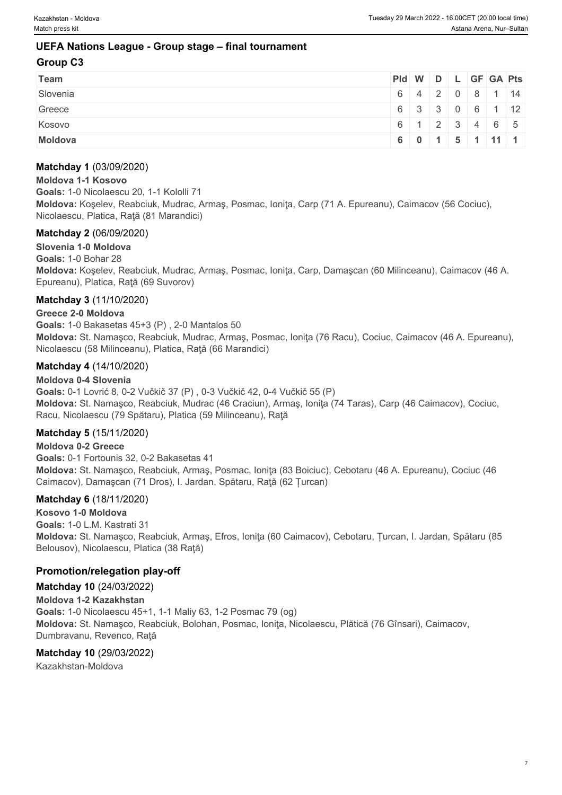#### **UEFA Nations League - Group stage – final tournament**

#### **Group C3**

| <b>Team</b>    | Pid W D L GF GA Pts |  |  |                |  |
|----------------|---------------------|--|--|----------------|--|
| Slovenia       |                     |  |  | 6 4 2 0 8 1 14 |  |
| Greece         | 6 3 3 0 6 1 12      |  |  |                |  |
| Kosovo         | 6 1 2 3 4 6 5       |  |  |                |  |
| <b>Moldova</b> |                     |  |  | 6 0 1 5 1 11 1 |  |

#### **Matchday 1** (03/09/2020)

#### **Moldova 1-1 Kosovo**

**Goals:** 1-0 Nicolaescu 20, 1-1 Kololli 71 **Moldova:** Koşelev, Reabciuk, Mudrac, Armaş, Posmac, Ioniţa, Carp (71 A. Epureanu), Caimacov (56 Cociuc), Nicolaescu, Platica, Raţă (81 Marandici)

#### **Matchday 2** (06/09/2020)

**Slovenia 1-0 Moldova Goals:** 1-0 Bohar 28 **Moldova:** Koşelev, Reabciuk, Mudrac, Armaş, Posmac, Ioniţa, Carp, Damaşcan (60 Milinceanu), Caimacov (46 A. Epureanu), Platica, Raţă (69 Suvorov)

#### **Matchday 3** (11/10/2020)

#### **Greece 2-0 Moldova**

**Goals:** 1-0 Bakasetas 45+3 (P) , 2-0 Mantalos 50 **Moldova:** St. Namaşco, Reabciuk, Mudrac, Armaş, Posmac, Ioniţa (76 Racu), Cociuc, Caimacov (46 A. Epureanu), Nicolaescu (58 Milinceanu), Platica, Raţă (66 Marandici)

#### **Matchday 4** (14/10/2020)

#### **Moldova 0-4 Slovenia**

**Goals:** 0-1 Lovrić 8, 0-2 Vučkič 37 (P) , 0-3 Vučkič 42, 0-4 Vučkič 55 (P) **Moldova:** St. Namaşco, Reabciuk, Mudrac (46 Craciun), Armaş, Ioniţa (74 Taras), Carp (46 Caimacov), Cociuc, Racu, Nicolaescu (79 Spătaru), Platica (59 Milinceanu), Raţă

#### **Matchday 5** (15/11/2020)

#### **Moldova 0-2 Greece**

**Goals:** 0-1 Fortounis 32, 0-2 Bakasetas 41 **Moldova:** St. Namaşco, Reabciuk, Armaş, Posmac, Ioniţa (83 Boiciuc), Cebotaru (46 A. Epureanu), Cociuc (46 Caimacov), Damaşcan (71 Dros), I. Jardan, Spătaru, Raţă (62 Țurcan)

#### **Matchday 6** (18/11/2020)

**Kosovo 1-0 Moldova Goals:** 1-0 L.M. Kastrati 31 **Moldova:** St. Namaşco, Reabciuk, Armaş, Efros, Ioniţa (60 Caimacov), Cebotaru, Țurcan, I. Jardan, Spătaru (85 Belousov), Nicolaescu, Platica (38 Raţă)

#### **Promotion/relegation play-off**

#### **Matchday 10** (24/03/2022) **Moldova 1-2 Kazakhstan Goals:** 1-0 Nicolaescu 45+1, 1-1 Maliy 63, 1-2 Posmac 79 (og) **Moldova:** St. Namaşco, Reabciuk, Bolohan, Posmac, Ioniţa, Nicolaescu, Plătică (76 Gînsari), Caimacov, Dumbravanu, Revenco, Raţă

#### **Matchday 10** (29/03/2022)

Kazakhstan-Moldova